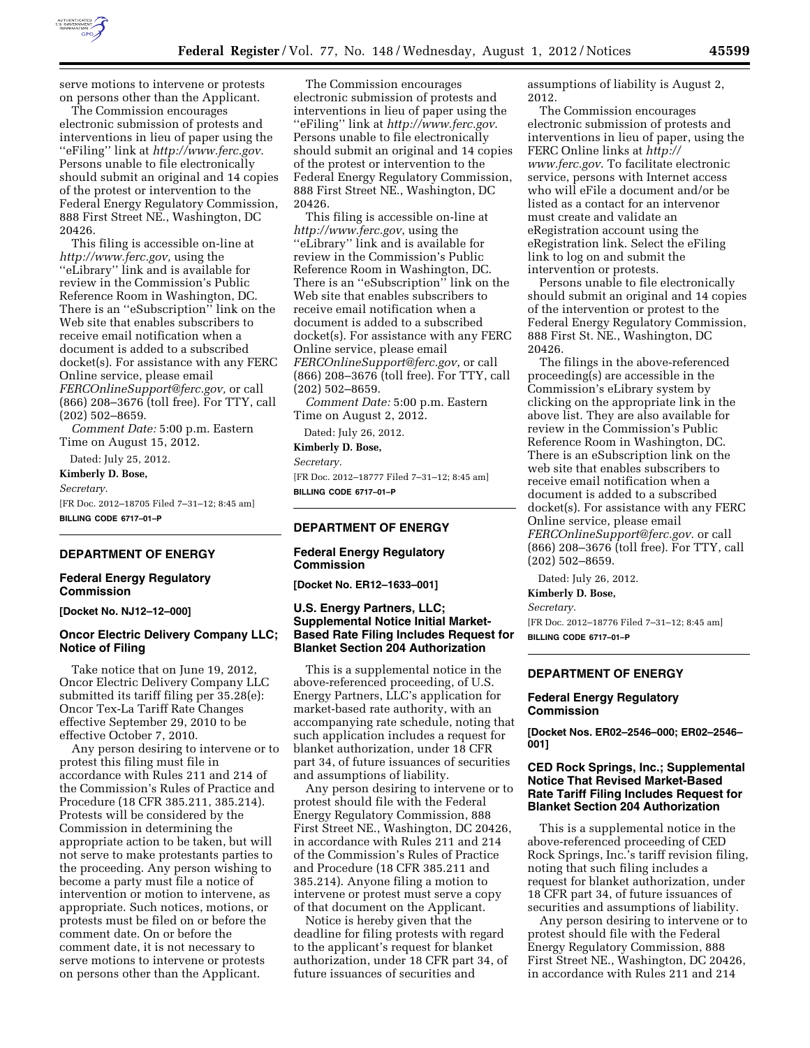

serve motions to intervene or protests on persons other than the Applicant.

The Commission encourages electronic submission of protests and interventions in lieu of paper using the ''eFiling'' link at *[http://www.ferc.gov.](http://www.ferc.gov)*  Persons unable to file electronically should submit an original and 14 copies of the protest or intervention to the Federal Energy Regulatory Commission, 888 First Street NE., Washington, DC 20426.

This filing is accessible on-line at *[http://www.ferc.gov,](http://www.ferc.gov)* using the ''eLibrary'' link and is available for review in the Commission's Public Reference Room in Washington, DC. There is an ''eSubscription'' link on the Web site that enables subscribers to receive email notification when a document is added to a subscribed docket(s). For assistance with any FERC Online service, please email *[FERCOnlineSupport@ferc.gov,](mailto:FERCOnlineSupport@ferc.gov)* or call (866) 208–3676 (toll free). For TTY, call (202) 502–8659.

*Comment Date:* 5:00 p.m. Eastern Time on August 15, 2012.

Dated: July 25, 2012. **Kimberly D. Bose,** 

*Secretary.* 

[FR Doc. 2012–18705 Filed 7–31–12; 8:45 am] **BILLING CODE 6717–01–P** 

#### **DEPARTMENT OF ENERGY**

#### **Federal Energy Regulatory Commission**

**[Docket No. NJ12–12–000]** 

## **Oncor Electric Delivery Company LLC; Notice of Filing**

Take notice that on June 19, 2012, Oncor Electric Delivery Company LLC submitted its tariff filing per 35.28(e): Oncor Tex-La Tariff Rate Changes effective September 29, 2010 to be effective October 7, 2010.

Any person desiring to intervene or to protest this filing must file in accordance with Rules 211 and 214 of the Commission's Rules of Practice and Procedure (18 CFR 385.211, 385.214). Protests will be considered by the Commission in determining the appropriate action to be taken, but will not serve to make protestants parties to the proceeding. Any person wishing to become a party must file a notice of intervention or motion to intervene, as appropriate. Such notices, motions, or protests must be filed on or before the comment date. On or before the comment date, it is not necessary to serve motions to intervene or protests on persons other than the Applicant.

The Commission encourages electronic submission of protests and interventions in lieu of paper using the ''eFiling'' link at *<http://www.ferc.gov>*. Persons unable to file electronically should submit an original and 14 copies of the protest or intervention to the Federal Energy Regulatory Commission, 888 First Street NE., Washington, DC 20426.

This filing is accessible on-line at *<http://www.ferc.gov>*, using the ''eLibrary'' link and is available for review in the Commission's Public Reference Room in Washington, DC. There is an "eSubscription" link on the Web site that enables subscribers to receive email notification when a document is added to a subscribed docket(s). For assistance with any FERC Online service, please email *[FERCOnlineSupport@ferc.gov](mailto:FERCOnlineSupport@ferc.gov)*, or call (866) 208–3676 (toll free). For TTY, call (202) 502–8659.

*Comment Date:* 5:00 p.m. Eastern Time on August 2, 2012.

Dated: July 26, 2012.

**Kimberly D. Bose,** 

*Secretary.* 

[FR Doc. 2012–18777 Filed 7–31–12; 8:45 am] **BILLING CODE 6717–01–P** 

# **DEPARTMENT OF ENERGY**

### **Federal Energy Regulatory Commission**

**[Docket No. ER12–1633–001]** 

## **U.S. Energy Partners, LLC; Supplemental Notice Initial Market-Based Rate Filing Includes Request for Blanket Section 204 Authorization**

This is a supplemental notice in the above-referenced proceeding, of U.S. Energy Partners, LLC's application for market-based rate authority, with an accompanying rate schedule, noting that such application includes a request for blanket authorization, under 18 CFR part 34, of future issuances of securities and assumptions of liability.

Any person desiring to intervene or to protest should file with the Federal Energy Regulatory Commission, 888 First Street NE., Washington, DC 20426, in accordance with Rules 211 and 214 of the Commission's Rules of Practice and Procedure (18 CFR 385.211 and 385.214). Anyone filing a motion to intervene or protest must serve a copy of that document on the Applicant.

Notice is hereby given that the deadline for filing protests with regard to the applicant's request for blanket authorization, under 18 CFR part 34, of future issuances of securities and

assumptions of liability is August 2, 2012.

The Commission encourages electronic submission of protests and interventions in lieu of paper, using the FERC Online links at *[http://](http://www.ferc.gov)  [www.ferc.gov](http://www.ferc.gov)*. To facilitate electronic service, persons with Internet access who will eFile a document and/or be listed as a contact for an intervenor must create and validate an eRegistration account using the eRegistration link. Select the eFiling link to log on and submit the intervention or protests.

Persons unable to file electronically should submit an original and 14 copies of the intervention or protest to the Federal Energy Regulatory Commission, 888 First St. NE., Washington, DC 20426.

The filings in the above-referenced proceeding(s) are accessible in the Commission's eLibrary system by clicking on the appropriate link in the above list. They are also available for review in the Commission's Public Reference Room in Washington, DC. There is an eSubscription link on the web site that enables subscribers to receive email notification when a document is added to a subscribed docket(s). For assistance with any FERC Online service, please email *[FERCOnlineSupport@ferc.gov.](mailto:FERCOnlineSupport@ferc.gov)* or call (866) 208–3676 (toll free). For TTY, call (202) 502–8659.

Dated: July 26, 2012.

**Kimberly D. Bose,** 

*Secretary.* 

[FR Doc. 2012–18776 Filed 7–31–12; 8:45 am] **BILLING CODE 6717–01–P** 

#### **DEPARTMENT OF ENERGY**

#### **Federal Energy Regulatory Commission**

**[Docket Nos. ER02–2546–000; ER02–2546– 001]** 

#### **CED Rock Springs, Inc.; Supplemental Notice That Revised Market-Based Rate Tariff Filing Includes Request for Blanket Section 204 Authorization**

This is a supplemental notice in the above-referenced proceeding of CED Rock Springs, Inc.'s tariff revision filing, noting that such filing includes a request for blanket authorization, under 18 CFR part 34, of future issuances of securities and assumptions of liability.

Any person desiring to intervene or to protest should file with the Federal Energy Regulatory Commission, 888 First Street NE., Washington, DC 20426, in accordance with Rules 211 and 214